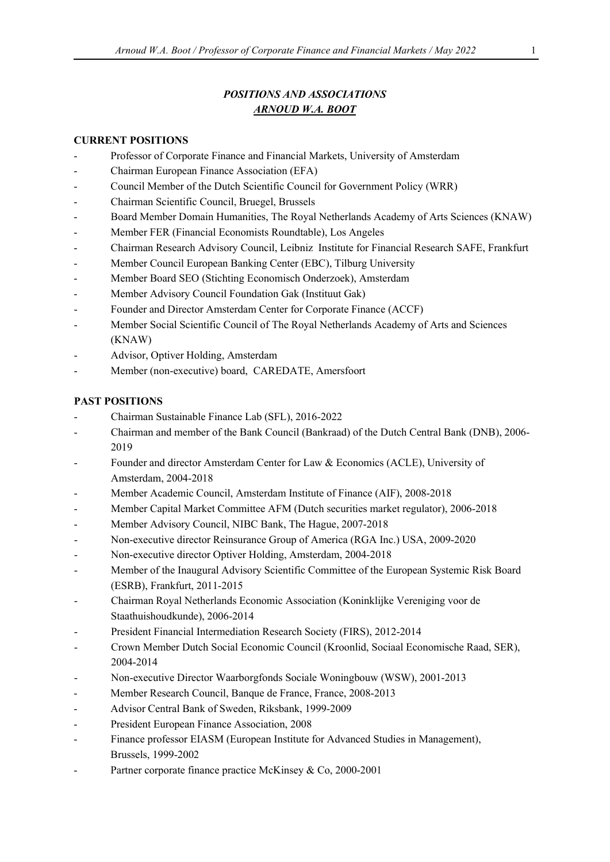# *POSITIONS AND ASSOCIATIONS ARNOUD W.A. BOOT*

#### **CURRENT POSITIONS**

- Professor of Corporate Finance and Financial Markets, University of Amsterdam
- Chairman European Finance Association (EFA)
- Council Member of the Dutch Scientific Council for Government Policy (WRR)
- Chairman Scientific Council, Bruegel, Brussels
- Board Member Domain Humanities, The Royal Netherlands Academy of Arts Sciences (KNAW)
- Member FER (Financial Economists Roundtable), Los Angeles
- Chairman Research Advisory Council, Leibniz Institute for Financial Research SAFE, Frankfurt
- Member Council European Banking Center (EBC), Tilburg University
- Member Board SEO (Stichting Economisch Onderzoek), Amsterdam
- Member Advisory Council Foundation Gak (Instituut Gak)
- Founder and Director Amsterdam Center for Corporate Finance (ACCF)
- Member Social Scientific Council of The Royal Netherlands Academy of Arts and Sciences (KNAW)
- Advisor, Optiver Holding, Amsterdam
- Member (non-executive) board, CAREDATE, Amersfoort

## **PAST POSITIONS**

- Chairman Sustainable Finance Lab (SFL), 2016-2022
- Chairman and member of the Bank Council (Bankraad) of the Dutch Central Bank (DNB), 2006- 2019
- Founder and director Amsterdam Center for Law & Economics (ACLE), University of Amsterdam, 2004-2018
- Member Academic Council, Amsterdam Institute of Finance (AIF), 2008-2018
- Member Capital Market Committee AFM (Dutch securities market regulator), 2006-2018
- Member Advisory Council, NIBC Bank, The Hague, 2007-2018
- Non-executive director Reinsurance Group of America (RGA Inc.) USA, 2009-2020
- Non-executive director Optiver Holding, Amsterdam, 2004-2018
- Member of the Inaugural Advisory Scientific Committee of the European Systemic Risk Board (ESRB), Frankfurt, 2011-2015
- Chairman Royal Netherlands Economic Association (Koninklijke Vereniging voor de Staathuishoudkunde), 2006-2014
- President Financial Intermediation Research Society (FIRS), 2012-2014
- Crown Member Dutch Social Economic Council (Kroonlid, Sociaal Economische Raad, SER), 2004-2014
- Non-executive Director Waarborgfonds Sociale Woningbouw (WSW), 2001-2013
- Member Research Council, Banque de France, France, 2008-2013
- Advisor Central Bank of Sweden, Riksbank, 1999-2009
- President European Finance Association, 2008
- Finance professor EIASM (European Institute for Advanced Studies in Management), Brussels, 1999-2002
- Partner corporate finance practice McKinsey & Co, 2000-2001